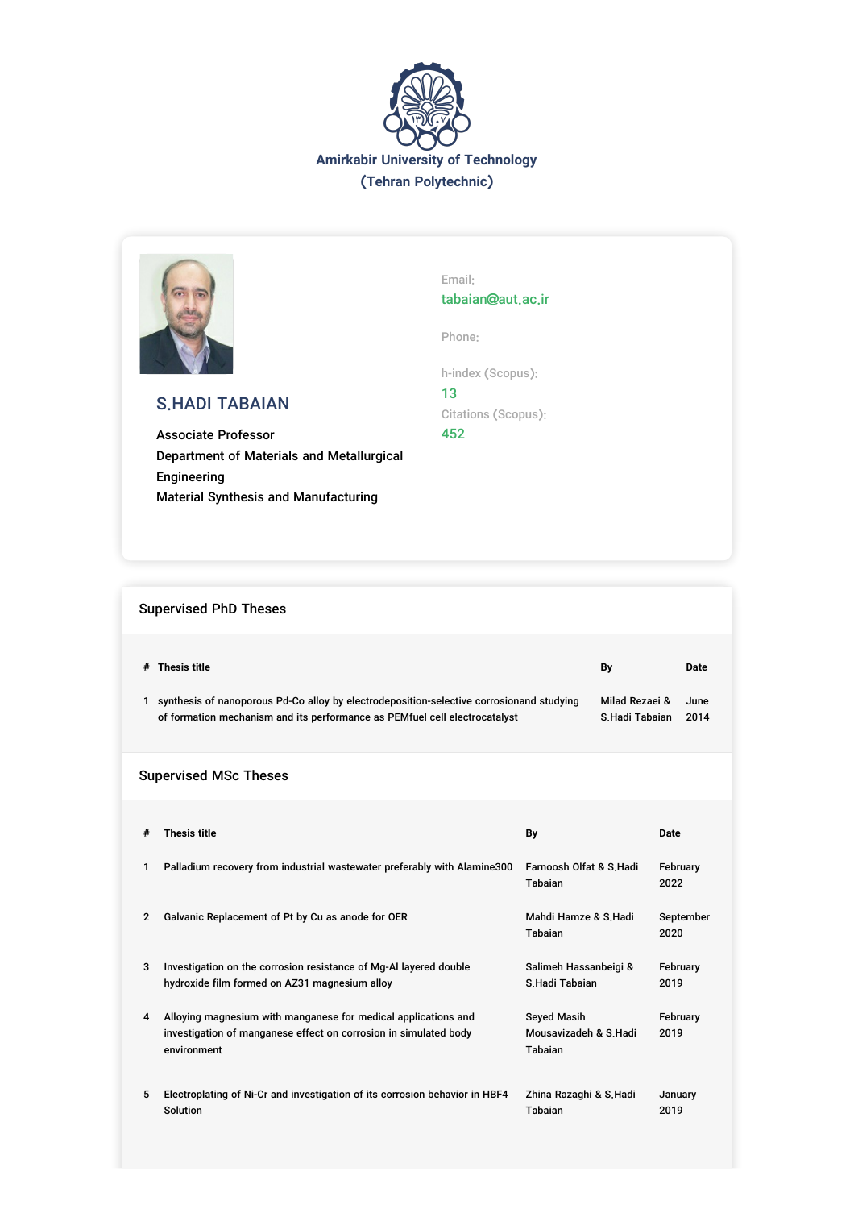



# S.HADI TABAIAN

Associate Professor Department of Materials and Metallurgical Engineering Material Synthesis and Manufacturing

Email: tabaian@aut.ac.ir

Phone:

h-index (Scopus): 13 Citations (Scopus): 452

## Supervised PhD Theses

| # Thesis title                                                                           | Bv             | Date |
|------------------------------------------------------------------------------------------|----------------|------|
| synthesis of nanoporous Pd-Co alloy by electrodeposition-selective corrosionand studying | Milad Rezaei & | June |
| of formation mechanism and its performance as PEMfuel cell electrocatalyst               | S.Hadi Tabaian | 2014 |

### Supervised MSc Theses

| #              | <b>Thesis title</b>                                                                                                                               | By                                              | Date              |
|----------------|---------------------------------------------------------------------------------------------------------------------------------------------------|-------------------------------------------------|-------------------|
| 1              | Palladium recovery from industrial wastewater preferably with Alamine 300                                                                         | <b>Farnoosh Olfat &amp; S Hadi</b><br>Tabaian   | February<br>2022  |
| $\overline{2}$ | Galvanic Replacement of Pt by Cu as anode for OER                                                                                                 | Mahdi Hamze & S Hadi<br>Tabaian                 | September<br>2020 |
| 3              | Investigation on the corrosion resistance of Mg-Al layered double<br>hydroxide film formed on AZ31 magnesium alloy                                | Salimeh Hassanbeigi &<br>S.Hadi Tabaian         | February<br>2019  |
| 4              | Alloying magnesium with manganese for medical applications and<br>investigation of manganese effect on corrosion in simulated body<br>environment | Seyed Masih<br>Mousavizadeh & S Hadi<br>Tabaian | February<br>2019  |
| 5              | Electroplating of Ni-Cr and investigation of its corrosion behavior in HBF4<br><b>Solution</b>                                                    | Zhina Razaghi & S.Hadi<br>Tabaian               | January<br>2019   |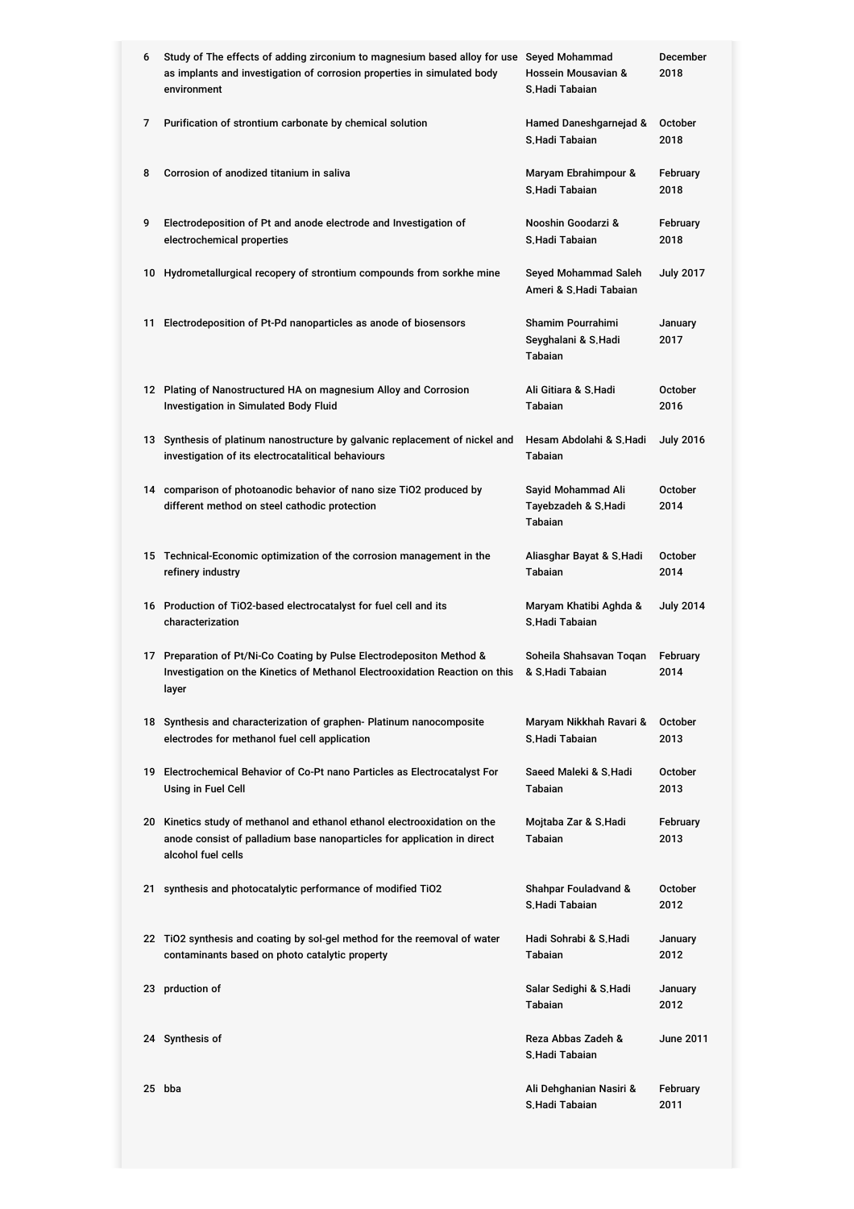| 6  | Study of The effects of adding zirconium to magnesium based alloy for use<br>as implants and investigation of corrosion properties in simulated body<br>environment        | <b>Seyed Mohammad</b><br>Hossein Mousavian &<br>S.Hadi Tabaian | December<br>2018       |
|----|----------------------------------------------------------------------------------------------------------------------------------------------------------------------------|----------------------------------------------------------------|------------------------|
| 7  | Purification of strontium carbonate by chemical solution                                                                                                                   | Hamed Daneshgarnejad &<br>S.Hadi Tabaian                       | October<br>2018        |
| 8  | Corrosion of anodized titanium in saliva                                                                                                                                   | Maryam Ebrahimpour &<br>S.Hadi Tabaian                         | February<br>2018       |
| 9  | Electrodeposition of Pt and anode electrode and Investigation of<br>electrochemical properties                                                                             | Nooshin Goodarzi &<br>S.Hadi Tabaian                           | February<br>2018       |
| 10 | Hydrometallurgical recopery of strontium compounds from sorkhe mine                                                                                                        | Seyed Mohammad Saleh<br>Ameri & S.Hadi Tabaian                 | <b>July 2017</b>       |
| 11 | Electrodeposition of Pt-Pd nanoparticles as anode of biosensors                                                                                                            | Shamim Pourrahimi<br>Seyghalani & S.Hadi<br>Tabaian            | January<br>2017        |
|    | 12 Plating of Nanostructured HA on magnesium Alloy and Corrosion<br>Investigation in Simulated Body Fluid                                                                  | Ali Gitiara & S.Hadi<br>Tabaian                                | <b>October</b><br>2016 |
|    | 13 Synthesis of platinum nanostructure by galvanic replacement of nickel and<br>investigation of its electrocatalitical behaviours                                         | Hesam Abdolahi & S.Hadi<br>Tabaian                             | <b>July 2016</b>       |
|    | 14 comparison of photoanodic behavior of nano size TiO2 produced by<br>different method on steel cathodic protection                                                       | Sayid Mohammad Ali<br>Tayebzadeh & S.Hadi<br>Tabaian           | October<br>2014        |
|    | 15 Technical-Economic optimization of the corrosion management in the<br>refinery industry                                                                                 | Aliasghar Bayat & S.Hadi<br>Tabaian                            | October<br>2014        |
|    | 16 Production of TiO2-based electrocatalyst for fuel cell and its<br>characterization                                                                                      | Maryam Khatibi Aghda &<br>S.Hadi Tabaian                       | <b>July 2014</b>       |
| 17 | Preparation of Pt/Ni-Co Coating by Pulse Electrodepositon Method &<br>Investigation on the Kinetics of Methanol Electrooxidation Reaction on this<br>layer                 | Soheila Shahsavan Toqan<br>& S.Hadi Tabaian                    | February<br>2014       |
|    | 18 Synthesis and characterization of graphen- Platinum nanocomposite<br>electrodes for methanol fuel cell application                                                      | Maryam Nikkhah Ravari &<br>S.Hadi Tabaian                      | October<br>2013        |
| 19 | Electrochemical Behavior of Co-Pt nano Particles as Electrocatalyst For<br>Using in Fuel Cell                                                                              | Saeed Maleki & S.Hadi<br>Tabaian                               | October<br>2013        |
|    | 20 Kinetics study of methanol and ethanol ethanol electrooxidation on the<br>anode consist of palladium base nanoparticles for application in direct<br>alcohol fuel cells | Mojtaba Zar & S.Hadi<br>Tabaian                                | February<br>2013       |
| 21 | synthesis and photocatalytic performance of modified TiO2                                                                                                                  | <b>Shahpar Fouladvand &amp;</b><br>S.Hadi Tabaian              | October<br>2012        |
|    | 22 TiO2 synthesis and coating by sol-gel method for the reemoval of water<br>contaminants based on photo catalytic property                                                | Hadi Sohrabi & S.Hadi<br>Tabaian                               | January<br>2012        |
|    | 23 prduction of                                                                                                                                                            | Salar Sedighi & S.Hadi<br>Tabaian                              | January<br>2012        |
|    | 24 Synthesis of                                                                                                                                                            | Reza Abbas Zadeh &<br>S.Hadi Tabaian                           | <b>June 2011</b>       |
|    | 25 bba                                                                                                                                                                     | Ali Dehghanian Nasiri &<br>S.Hadi Tabaian                      | February<br>2011       |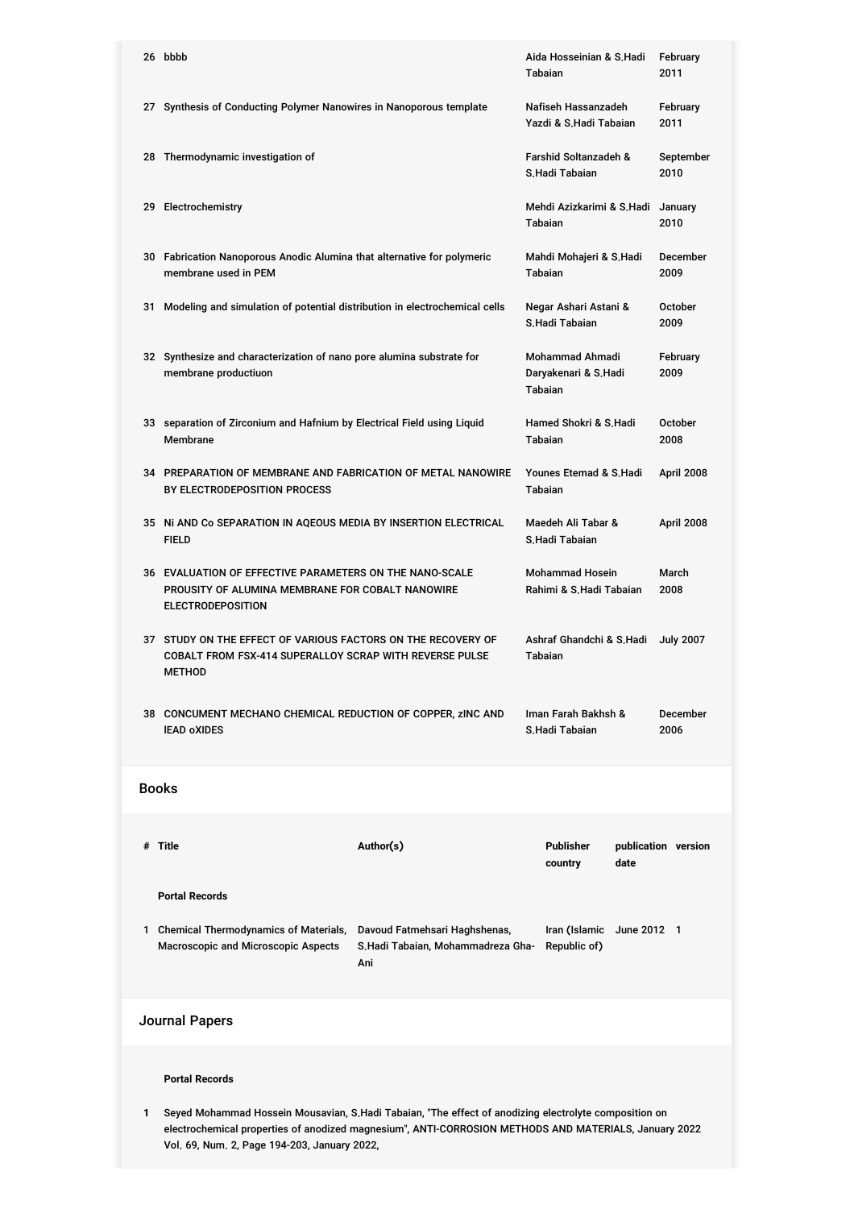|                       | 26 bbbb                                                                                                                                                                                                                                 |                                                                           | Aida Hosseinian & S.Hadi<br>Tabaian                | February<br>2011       |  |
|-----------------------|-----------------------------------------------------------------------------------------------------------------------------------------------------------------------------------------------------------------------------------------|---------------------------------------------------------------------------|----------------------------------------------------|------------------------|--|
|                       | 27 Synthesis of Conducting Polymer Nanowires in Nanoporous template                                                                                                                                                                     |                                                                           | Nafiseh Hassanzadeh<br>Yazdi & S.Hadi Tabaian      | February<br>2011       |  |
| 28                    | Thermodynamic investigation of                                                                                                                                                                                                          |                                                                           | <b>Farshid Soltanzadeh &amp;</b><br>S.Hadi Tabaian | September<br>2010      |  |
|                       | 29 Electrochemistry                                                                                                                                                                                                                     |                                                                           | Mehdi Azizkarimi & S.Hadi<br>Tabaian               | January<br>2010        |  |
|                       | 30 Fabrication Nanoporous Anodic Alumina that alternative for polymeric<br>membrane used in PEM                                                                                                                                         |                                                                           | Mahdi Mohajeri & S.Hadi<br>Tabaian                 | December<br>2009       |  |
| 31                    | Modeling and simulation of potential distribution in electrochemical cells                                                                                                                                                              | Negar Ashari Astani &<br>S.Hadi Tabaian                                   | October<br>2009                                    |                        |  |
|                       | 32 Synthesize and characterization of nano pore alumina substrate for<br>membrane productiuon                                                                                                                                           | <b>Mohammad Ahmadi</b><br>Daryakenari & S.Hadi<br>Tabaian                 | February<br>2009                                   |                        |  |
|                       | 33 separation of Zirconium and Hafnium by Electrical Field using Liquid<br>Membrane                                                                                                                                                     |                                                                           | Hamed Shokri & S.Hadi<br>Tabaian                   | <b>October</b><br>2008 |  |
|                       | 34 PREPARATION OF MEMBRANE AND FABRICATION OF METAL NANOWIRE<br>BY ELECTRODEPOSITION PROCESS                                                                                                                                            |                                                                           | Younes Etemad & S.Hadi<br>Tabaian                  | April 2008             |  |
|                       | 35 Ni AND Co SEPARATION IN AQEOUS MEDIA BY INSERTION ELECTRICAL<br><b>FIELD</b>                                                                                                                                                         | Maedeh Ali Tabar &<br>S.Hadi Tabaian                                      | April 2008                                         |                        |  |
|                       | 36 EVALUATION OF EFFECTIVE PARAMETERS ON THE NANO-SCALE<br>PROUSITY OF ALUMINA MEMBRANE FOR COBALT NANOWIRE<br><b>ELECTRODEPOSITION</b>                                                                                                 |                                                                           | <b>Mohammad Hosein</b><br>Rahimi & S.Hadi Tabaian  | March<br>2008          |  |
|                       | 37 STUDY ON THE EFFECT OF VARIOUS FACTORS ON THE RECOVERY OF<br>COBALT FROM FSX-414 SUPERALLOY SCRAP WITH REVERSE PULSE<br><b>METHOD</b>                                                                                                | Ashraf Ghandchi & S.Hadi<br>Tabaian                                       | <b>July 2007</b>                                   |                        |  |
|                       | 38 CONCUMENT MECHANO CHEMICAL REDUCTION OF COPPER, ZINC AND<br><b>IEAD OXIDES</b>                                                                                                                                                       |                                                                           | Iman Farah Bakhsh &<br>S.Hadi Tabaian              | December<br>2006       |  |
| <b>Books</b>          |                                                                                                                                                                                                                                         |                                                                           |                                                    |                        |  |
|                       | # Title                                                                                                                                                                                                                                 | Author(s)                                                                 | <b>Publisher</b><br>country<br>date                | publication version    |  |
|                       | <b>Portal Records</b>                                                                                                                                                                                                                   |                                                                           |                                                    |                        |  |
|                       | 1 Chemical Thermodynamics of Materials,<br>Macroscopic and Microscopic Aspects                                                                                                                                                          | Davoud Fatmehsari Haghshenas,<br>S.Hadi Tabaian, Mohammadreza Gha-<br>Ani | Iran (Islamic June 2012 1<br>Republic of)          |                        |  |
| <b>Journal Papers</b> |                                                                                                                                                                                                                                         |                                                                           |                                                    |                        |  |
| 1                     | <b>Portal Records</b><br>Seyed Mohammad Hossein Mousavian, S.Hadi Tabaian, "The effect of anodizing electrolyte composition on<br>electrochemical properties of anodized magnesium", ANTI-CORROSION METHODS AND MATERIALS, January 2022 |                                                                           |                                                    |                        |  |
|                       | Vol. 69, Num. 2, Page 194-203, January 2022,                                                                                                                                                                                            |                                                                           |                                                    |                        |  |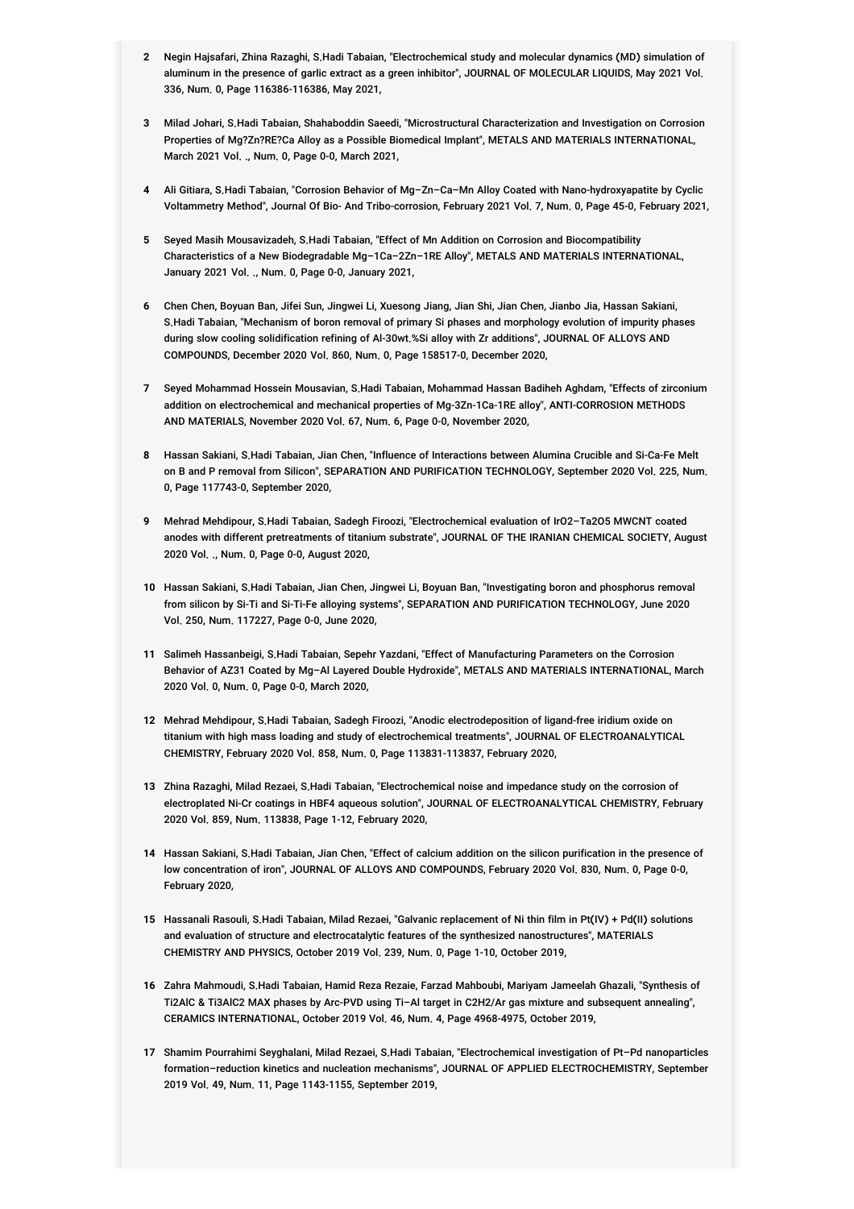- **2** Negin Hajsafari, Zhina Razaghi, S.Hadi Tabaian, "Electrochemical study and molecular dynamics (MD) simulation of aluminum in the presence of garlic extract as a green inhibitor", JOURNAL OF MOLECULAR LIQUIDS, May 2021 Vol. 336, Num. 0, Page 116386-116386, May 2021,
- **3** Milad Johari, S.Hadi Tabaian, Shahaboddin Saeedi, "Microstructural Characterization and Investigation on Corrosion Properties of Mg?Zn?RE?Ca Alloy as a Possible Biomedical Implant", METALS AND MATERIALS INTERNATIONAL, March 2021 Vol. ., Num. 0, Page 0-0, March 2021,
- **4** Ali Gitiara, S.Hadi Tabaian, "Corrosion Behavior of Mg–Zn–Ca–Mn Alloy Coated with Nano-hydroxyapatite by Cyclic Voltammetry Method", Journal Of Bio- And Tribo-corrosion, February 2021 Vol. 7, Num. 0, Page 45-0, February 2021,
- **5** Seyed Masih Mousavizadeh, S.Hadi Tabaian, "Effect of Mn Addition on Corrosion and Biocompatibility Characteristics of a New Biodegradable Mg–1Ca–2Zn–1RE Alloy", METALS AND MATERIALS INTERNATIONAL, January 2021 Vol. ., Num. 0, Page 0-0, January 2021,
- **6** Chen Chen, Boyuan Ban, Jifei Sun, Jingwei Li, Xuesong Jiang, Jian Shi, Jian Chen, Jianbo Jia, Hassan Sakiani, S.Hadi Tabaian, "Mechanism of boron removal of primary Si phases and morphology evolution of impurity phases during slow cooling solidification refining of Al-30wt.%Si alloy with Zr additions", JOURNAL OF ALLOYS AND COMPOUNDS, December 2020 Vol. 860, Num. 0, Page 158517-0, December 2020,
- **7** Seyed Mohammad Hossein Mousavian, S.Hadi Tabaian, Mohammad Hassan Badiheh Aghdam, "Effects of zirconium addition on electrochemical and mechanical properties of Mg-3Zn-1Ca-1RE alloy", ANTI-CORROSION METHODS AND MATERIALS, November 2020 Vol. 67, Num. 6, Page 0-0, November 2020,
- **8** Hassan Sakiani, S.Hadi Tabaian, Jian Chen, "Influence of Interactions between Alumina Crucible and Si-Ca-Fe Melt on B and P removal from Silicon", SEPARATION AND PURIFICATION TECHNOLOGY, September 2020 Vol. 225, Num. 0, Page 117743-0, September 2020,
- **9** Mehrad Mehdipour, S.Hadi Tabaian, Sadegh Firoozi, "Electrochemical evaluation of IrO2–Ta2O5 MWCNT coated anodes with different pretreatments of titanium substrate", JOURNAL OF THE IRANIAN CHEMICAL SOCIETY, August 2020 Vol. ., Num. 0, Page 0-0, August 2020,
- **10** Hassan Sakiani, S.Hadi Tabaian, Jian Chen, Jingwei Li, Boyuan Ban, "Investigating boron and phosphorus removal from silicon by Si-Ti and Si-Ti-Fe alloying systems", SEPARATION AND PURIFICATION TECHNOLOGY, June 2020 Vol. 250, Num. 117227, Page 0-0, June 2020,
- **11** Salimeh Hassanbeigi, S.Hadi Tabaian, Sepehr Yazdani, "Effect of Manufacturing Parameters on the Corrosion Behavior of AZ31 Coated by Mg–Al Layered Double Hydroxide", METALS AND MATERIALS INTERNATIONAL, March 2020 Vol. 0, Num. 0, Page 0-0, March 2020,
- **12** Mehrad Mehdipour, S.Hadi Tabaian, Sadegh Firoozi, "Anodic electrodeposition of ligand-free iridium oxide on titanium with high mass loading and study of electrochemical treatments", JOURNAL OF ELECTROANALYTICAL CHEMISTRY, February 2020 Vol. 858, Num. 0, Page 113831-113837, February 2020,
- **13** Zhina Razaghi, Milad Rezaei, S.Hadi Tabaian, "Electrochemical noise and impedance study on the corrosion of electroplated Ni-Cr coatings in HBF4 aqueous solution", JOURNAL OF ELECTROANALYTICAL CHEMISTRY, February 2020 Vol. 859, Num. 113838, Page 1-12, February 2020,
- **14** Hassan Sakiani, S.Hadi Tabaian, Jian Chen, "Effect of calcium addition on the silicon purification in the presence of low concentration of iron", JOURNAL OF ALLOYS AND COMPOUNDS, February 2020 Vol. 830, Num. 0, Page 0-0, February 2020,
- **15** Hassanali Rasouli, S.Hadi Tabaian, Milad Rezaei, "Galvanic replacement of Ni thin film in Pt(IV) + Pd(II) solutions and evaluation of structure and electrocatalytic features of the synthesized nanostructures", MATERIALS CHEMISTRY AND PHYSICS, October 2019 Vol. 239, Num. 0, Page 1-10, October 2019,
- **16** Zahra Mahmoudi, S.Hadi Tabaian, Hamid Reza Rezaie, Farzad Mahboubi, Mariyam Jameelah Ghazali, "Synthesis of Ti2AlC & Ti3AlC2 MAX phases by Arc-PVD using Ti–Al target in C2H2/Ar gas mixture and subsequent annealing", CERAMICS INTERNATIONAL, October 2019 Vol. 46, Num. 4, Page 4968-4975, October 2019,
- **17** Shamim Pourrahimi Seyghalani, Milad Rezaei, S.Hadi Tabaian, "Electrochemical investigation of Pt–Pd nanoparticles formation–reduction kinetics and nucleation mechanisms", JOURNAL OF APPLIED ELECTROCHEMISTRY, September 2019 Vol. 49, Num. 11, Page 1143-1155, September 2019,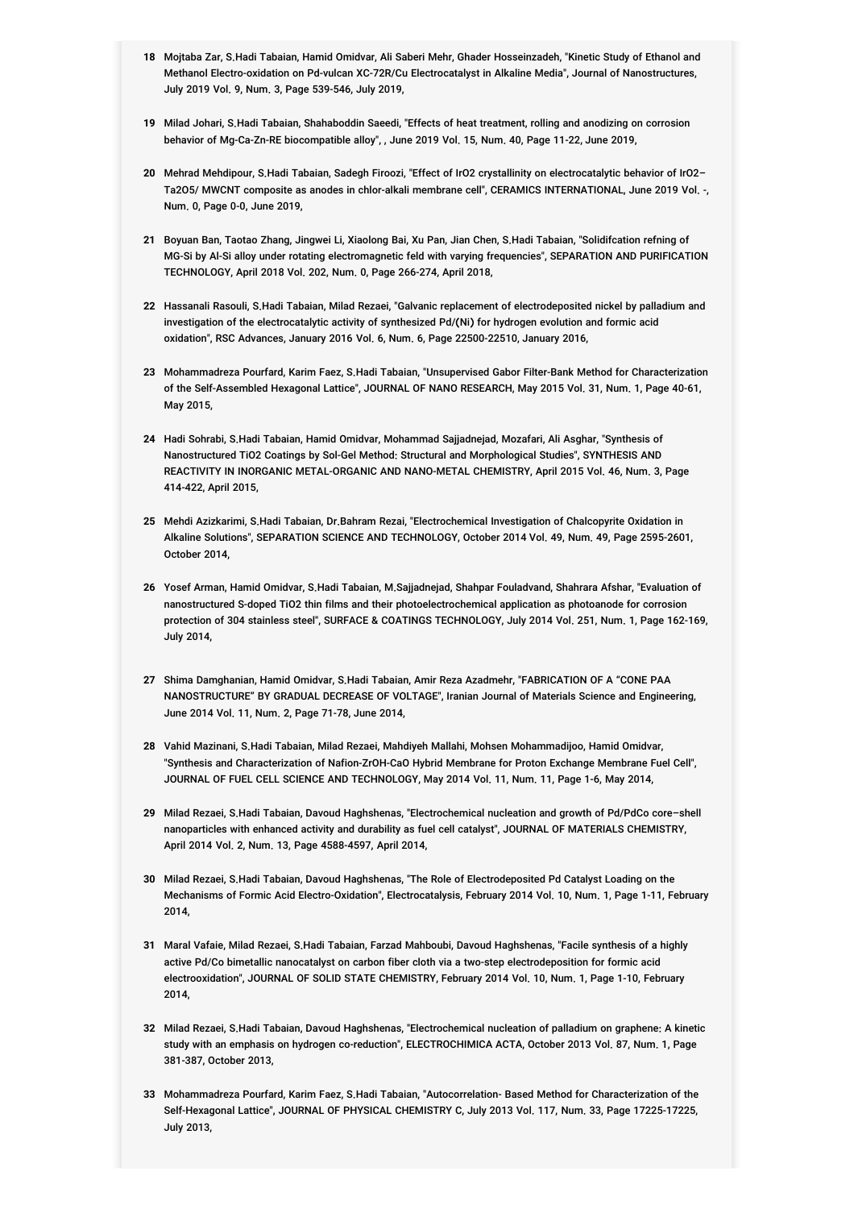- **18** Mojtaba Zar, S.Hadi Tabaian, Hamid Omidvar, Ali Saberi Mehr, Ghader Hosseinzadeh, "Kinetic Study of Ethanol and Methanol Electro-oxidation on Pd-vulcan XC-72R/Cu Electrocatalyst in Alkaline Media", Journal of Nanostructures, July 2019 Vol. 9, Num. 3, Page 539-546, July 2019,
- **19** Milad Johari, S.Hadi Tabaian, Shahaboddin Saeedi, "Effects of heat treatment, rolling and anodizing on corrosion behavior of Mg-Ca-Zn-RE biocompatible alloy", , June 2019 Vol. 15, Num. 40, Page 11-22, June 2019,
- **20** Mehrad Mehdipour, S.Hadi Tabaian, Sadegh Firoozi, "Effect of IrO2 crystallinity on electrocatalytic behavior of IrO2– Ta2O5/ MWCNT composite as anodes in chlor-alkali membrane cell", CERAMICS INTERNATIONAL, June 2019 Vol. -, Num. 0, Page 0-0, June 2019,
- **21** Boyuan Ban, Taotao Zhang, Jingwei Li, Xiaolong Bai, Xu Pan, Jian Chen, S.Hadi Tabaian, "Solidifcation refning of MG-Si by Al-Si alloy under rotating electromagnetic feld with varying frequencies", SEPARATION AND PURIFICATION TECHNOLOGY, April 2018 Vol. 202, Num. 0, Page 266-274, April 2018,
- **22** Hassanali Rasouli, S.Hadi Tabaian, Milad Rezaei, "Galvanic replacement of electrodeposited nickel by palladium and investigation of the electrocatalytic activity of synthesized Pd/(Ni) for hydrogen evolution and formic acid oxidation", RSC Advances, January 2016 Vol. 6, Num. 6, Page 22500-22510, January 2016,
- **23** Mohammadreza Pourfard, Karim Faez, S.Hadi Tabaian, "Unsupervised Gabor Filter-Bank Method for Characterization of the Self-Assembled Hexagonal Lattice", JOURNAL OF NANO RESEARCH, May 2015 Vol. 31, Num. 1, Page 40-61, May 2015,
- **24** Hadi Sohrabi, S.Hadi Tabaian, Hamid Omidvar, Mohammad Sajjadnejad, Mozafari, Ali Asghar, "Synthesis of Nanostructured TiO2 Coatings by Sol-Gel Method: Structural and Morphological Studies", SYNTHESIS AND REACTIVITY IN INORGANIC METAL-ORGANIC AND NANO-METAL CHEMISTRY, April 2015 Vol. 46, Num. 3, Page 414-422, April 2015,
- **25** Mehdi Azizkarimi, S.Hadi Tabaian, Dr.Bahram Rezai, "Electrochemical Investigation of Chalcopyrite Oxidation in Alkaline Solutions", SEPARATION SCIENCE AND TECHNOLOGY, October 2014 Vol. 49, Num. 49, Page 2595-2601, October 2014,
- **26** Yosef Arman, Hamid Omidvar, S.Hadi Tabaian, M.Sajjadnejad, Shahpar Fouladvand, Shahrara Afshar, "Evaluation of nanostructured S-doped TiO2 thin films and their photoelectrochemical application as photoanode for corrosion protection of 304 stainless steel", SURFACE & COATINGS TECHNOLOGY, July 2014 Vol. 251, Num. 1, Page 162-169, July 2014,
- **27** Shima Damghanian, Hamid Omidvar, S.Hadi Tabaian, Amir Reza Azadmehr, "FABRICATION OF A "CONE PAA NANOSTRUCTURE" BY GRADUAL DECREASE OF VOLTAGE", Iranian Journal of Materials Science and Engineering, June 2014 Vol. 11, Num. 2, Page 71-78, June 2014,
- **28** Vahid Mazinani, S.Hadi Tabaian, Milad Rezaei, Mahdiyeh Mallahi, Mohsen Mohammadijoo, Hamid Omidvar, "Synthesis and Characterization of Nafion-ZrOH-CaO Hybrid Membrane for Proton Exchange Membrane Fuel Cell", JOURNAL OF FUEL CELL SCIENCE AND TECHNOLOGY, May 2014 Vol. 11, Num. 11, Page 1-6, May 2014,
- **29** Milad Rezaei, S.Hadi Tabaian, Davoud Haghshenas, "Electrochemical nucleation and growth of Pd/PdCo core–shell nanoparticles with enhanced activity and durability as fuel cell catalyst", JOURNAL OF MATERIALS CHEMISTRY, April 2014 Vol. 2, Num. 13, Page 4588-4597, April 2014,
- **30** Milad Rezaei, S.Hadi Tabaian, Davoud Haghshenas, "The Role of Electrodeposited Pd Catalyst Loading on the Mechanisms of Formic Acid Electro-Oxidation", Electrocatalysis, February 2014 Vol. 10, Num. 1, Page 1-11, February 2014,
- **31** Maral Vafaie, Milad Rezaei, S.Hadi Tabaian, Farzad Mahboubi, Davoud Haghshenas, "Facile synthesis of a highly active Pd/Co bimetallic nanocatalyst on carbon fiber cloth via a two-step electrodeposition for formic acid electrooxidation", JOURNAL OF SOLID STATE CHEMISTRY, February 2014 Vol. 10, Num. 1, Page 1-10, February 2014,
- **32** Milad Rezaei, S.Hadi Tabaian, Davoud Haghshenas, "Electrochemical nucleation of palladium on graphene: A kinetic study with an emphasis on hydrogen co-reduction", ELECTROCHIMICA ACTA, October 2013 Vol. 87, Num. 1, Page 381-387, October 2013,
- **33** Mohammadreza Pourfard, Karim Faez, S.Hadi Tabaian, "Autocorrelation- Based Method for Characterization of the Self-Hexagonal Lattice", JOURNAL OF PHYSICAL CHEMISTRY C, July 2013 Vol. 117, Num. 33, Page 17225-17225, July 2013,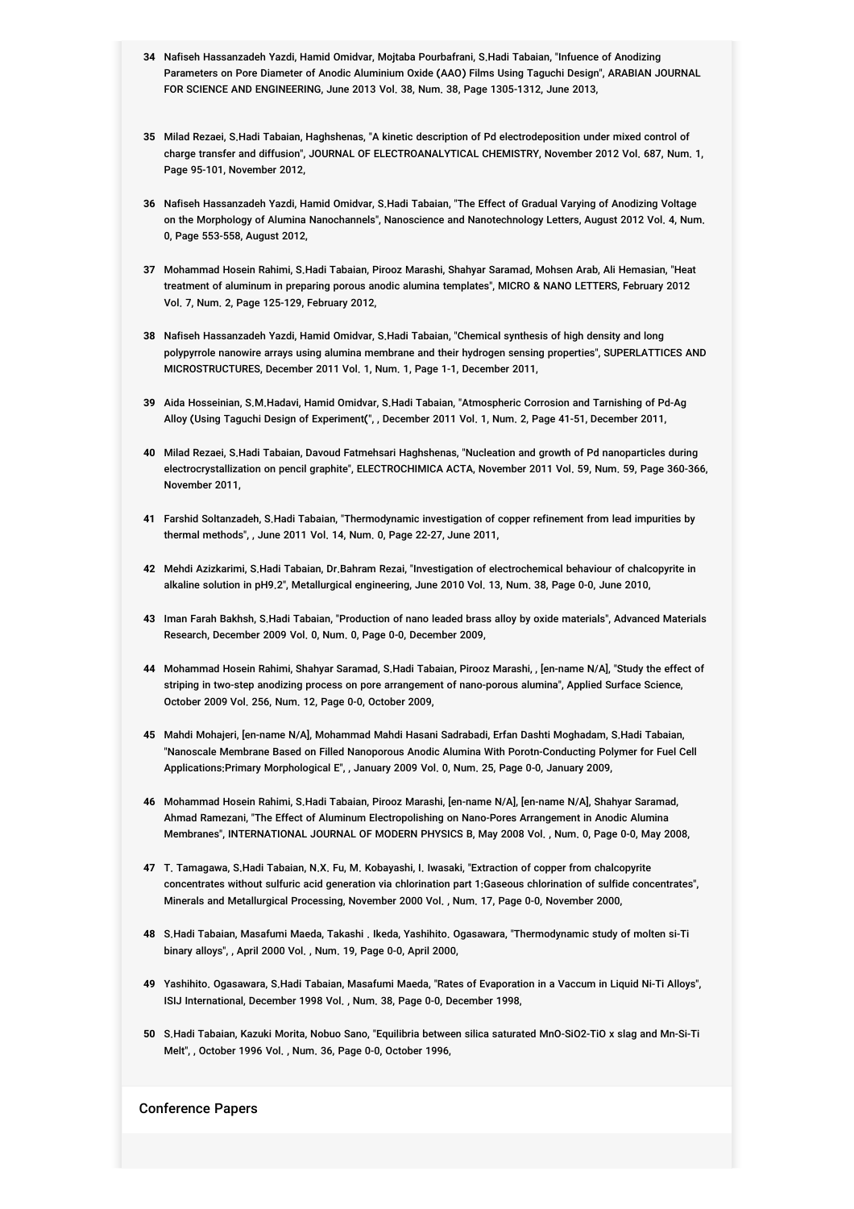- **34** Nafiseh Hassanzadeh Yazdi, Hamid Omidvar, Mojtaba Pourbafrani, S.Hadi Tabaian, "Infuence of Anodizing Parameters on Pore Diameter of Anodic Aluminium Oxide (AAO) Films Using Taguchi Design", ARABIAN JOURNAL FOR SCIENCE AND ENGINEERING, June 2013 Vol. 38, Num. 38, Page 1305-1312, June 2013,
- **35** Milad Rezaei, S.Hadi Tabaian, Haghshenas, "A kinetic description of Pd electrodeposition under mixed control of charge transfer and diffusion", JOURNAL OF ELECTROANALYTICAL CHEMISTRY, November 2012 Vol. 687, Num. 1, Page 95-101, November 2012,
- **36** Nafiseh Hassanzadeh Yazdi, Hamid Omidvar, S.Hadi Tabaian, "The Effect of Gradual Varying of Anodizing Voltage on the Morphology of Alumina Nanochannels", Nanoscience and Nanotechnology Letters, August 2012 Vol. 4, Num. 0, Page 553-558, August 2012,
- **37** Mohammad Hosein Rahimi, S.Hadi Tabaian, Pirooz Marashi, Shahyar Saramad, Mohsen Arab, Ali Hemasian, "Heat treatment of aluminum in preparing porous anodic alumina templates", MICRO & NANO LETTERS, February 2012 Vol. 7, Num. 2, Page 125-129, February 2012,
- **38** Nafiseh Hassanzadeh Yazdi, Hamid Omidvar, S.Hadi Tabaian, "Chemical synthesis of high density and long polypyrrole nanowire arrays using alumina membrane and their hydrogen sensing properties", SUPERLATTICES AND MICROSTRUCTURES, December 2011 Vol. 1, Num. 1, Page 1-1, December 2011,
- **39** Aida Hosseinian, S.M.Hadavi, Hamid Omidvar, S.Hadi Tabaian, "Atmospheric Corrosion and Tarnishing of Pd-Ag Alloy (Using Taguchi Design of Experiment(", , December 2011 Vol. 1, Num. 2, Page 41-51, December 2011,
- **40** Milad Rezaei, S.Hadi Tabaian, Davoud Fatmehsari Haghshenas, "Nucleation and growth of Pd nanoparticles during electrocrystallization on pencil graphite", ELECTROCHIMICA ACTA, November 2011 Vol. 59, Num. 59, Page 360-366, November 2011,
- **41** Farshid Soltanzadeh, S.Hadi Tabaian, "Thermodynamic investigation of copper refinement from lead impurities by thermal methods", , June 2011 Vol. 14, Num. 0, Page 22-27, June 2011,
- **42** Mehdi Azizkarimi, S.Hadi Tabaian, Dr.Bahram Rezai, "Investigation of electrochemical behaviour of chalcopyrite in alkaline solution in pH9.2", Metallurgical engineering, June 2010 Vol. 13, Num. 38, Page 0-0, June 2010,
- **43** Iman Farah Bakhsh, S.Hadi Tabaian, "Production of nano leaded brass alloy by oxide materials", Advanced Materials Research, December 2009 Vol. 0, Num. 0, Page 0-0, December 2009,
- **44** Mohammad Hosein Rahimi, Shahyar Saramad, S.Hadi Tabaian, Pirooz Marashi, , [en-name N/A], "Study the effect of striping in two-step anodizing process on pore arrangement of nano-porous alumina", Applied Surface Science, October 2009 Vol. 256, Num. 12, Page 0-0, October 2009,
- **45** Mahdi Mohajeri, [en-name N/A], Mohammad Mahdi Hasani Sadrabadi, Erfan Dashti Moghadam, S.Hadi Tabaian, "Nanoscale Membrane Based on Filled Nanoporous Anodic Alumina With Porotn-Conducting Polymer for Fuel Cell Applications:Primary Morphological E", , January 2009 Vol. 0, Num. 25, Page 0-0, January 2009,
- **46** Mohammad Hosein Rahimi, S.Hadi Tabaian, Pirooz Marashi, [en-name N/A], [en-name N/A], Shahyar Saramad, Ahmad Ramezani, "The Effect of Aluminum Electropolishing on Nano-Pores Arrangement in Anodic Alumina Membranes", INTERNATIONAL JOURNAL OF MODERN PHYSICS B, May 2008 Vol. , Num. 0, Page 0-0, May 2008,
- **47** T. Tamagawa, S.Hadi Tabaian, N.X. Fu, M. Kobayashi, I. Iwasaki, "Extraction of copper from chalcopyrite concentrates without sulfuric acid generation via chlorination part 1:Gaseous chlorination of sulfide concentrates", Minerals and Metallurgical Processing, November 2000 Vol. , Num. 17, Page 0-0, November 2000,
- **48** S.Hadi Tabaian, Masafumi Maeda, Takashi . Ikeda, Yashihito. Ogasawara, "Thermodynamic study of molten si-Ti binary alloys", , April 2000 Vol. , Num. 19, Page 0-0, April 2000,
- **49** Yashihito. Ogasawara, S.Hadi Tabaian, Masafumi Maeda, "Rates of Evaporation in a Vaccum in Liquid Ni-Ti Alloys", ISIJ International, December 1998 Vol. , Num. 38, Page 0-0, December 1998,
- **50** S.Hadi Tabaian, Kazuki Morita, Nobuo Sano, "Equilibria between silica saturated MnO-SiO2-TiO x slag and Mn-Si-Ti Melt", , October 1996 Vol. , Num. 36, Page 0-0, October 1996,

Conference Papers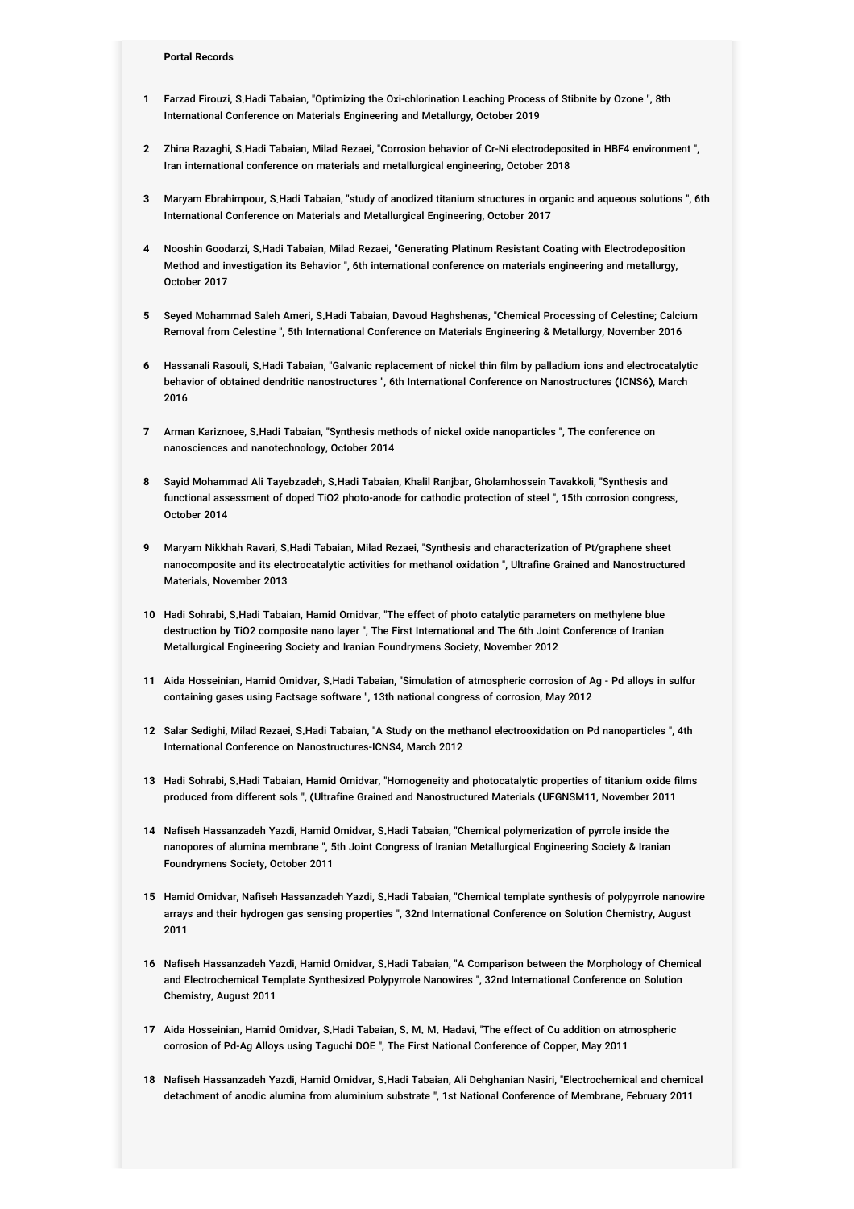#### **Portal Records**

- **1** Farzad Firouzi, S.Hadi Tabaian, "Optimizing the Oxi-chlorination Leaching Process of Stibnite by Ozone ", 8th International Conference on Materials Engineering and Metallurgy, October 2019
- **2** Zhina Razaghi, S.Hadi Tabaian, Milad Rezaei, "Corrosion behavior of Cr-Ni electrodeposited in HBF4 environment ", Iran international conference on materials and metallurgical engineering, October 2018
- **3** Maryam Ebrahimpour, S.Hadi Tabaian, "study of anodized titanium structures in organic and aqueous solutions ", 6th International Conference on Materials and Metallurgical Engineering, October 2017
- **4** Nooshin Goodarzi, S.Hadi Tabaian, Milad Rezaei, "Generating Platinum Resistant Coating with Electrodeposition Method and investigation its Behavior ", 6th international conference on materials engineering and metallurgy, October 2017
- **5** Seyed Mohammad Saleh Ameri, S.Hadi Tabaian, Davoud Haghshenas, "Chemical Processing of Celestine; Calcium Removal from Celestine ", 5th International Conference on Materials Engineering & Metallurgy, November 2016
- **6** Hassanali Rasouli, S.Hadi Tabaian, "Galvanic replacement of nickel thin film by palladium ions and electrocatalytic behavior of obtained dendritic nanostructures ", 6th International Conference on Nanostructures (ICNS6), March 2016
- **7** Arman Kariznoee, S.Hadi Tabaian, "Synthesis methods of nickel oxide nanoparticles ", The conference on nanosciences and nanotechnology, October 2014
- **8** Sayid Mohammad Ali Tayebzadeh, S.Hadi Tabaian, Khalil Ranjbar, Gholamhossein Tavakkoli, "Synthesis and functional assessment of doped TiO2 photo-anode for cathodic protection of steel ", 15th corrosion congress, October 2014
- **9** Maryam Nikkhah Ravari, S.Hadi Tabaian, Milad Rezaei, "Synthesis and characterization of Pt/graphene sheet nanocomposite and its electrocatalytic activities for methanol oxidation ", Ultrafine Grained and Nanostructured Materials, November 2013
- **10** Hadi Sohrabi, S.Hadi Tabaian, Hamid Omidvar, "The effect of photo catalytic parameters on methylene blue destruction by TiO2 composite nano layer ", The First International and The 6th Joint Conference of Iranian Metallurgical Engineering Society and Iranian Foundrymens Society, November 2012
- **11** Aida Hosseinian, Hamid Omidvar, S.Hadi Tabaian, "Simulation of atmospheric corrosion of Ag Pd alloys in sulfur containing gases using Factsage software ", 13th national congress of corrosion, May 2012
- **12** Salar Sedighi, Milad Rezaei, S.Hadi Tabaian, "A Study on the methanol electrooxidation on Pd nanoparticles ", 4th International Conference on Nanostructures-ICNS4, March 2012
- **13** Hadi Sohrabi, S.Hadi Tabaian, Hamid Omidvar, "Homogeneity and photocatalytic properties of titanium oxide films produced from different sols ", (Ultrafine Grained and Nanostructured Materials (UFGNSM11, November 2011
- **14** Nafiseh Hassanzadeh Yazdi, Hamid Omidvar, S.Hadi Tabaian, "Chemical polymerization of pyrrole inside the nanopores of alumina membrane ", 5th Joint Congress of Iranian Metallurgical Engineering Society & Iranian Foundrymens Society, October 2011
- **15** Hamid Omidvar, Nafiseh Hassanzadeh Yazdi, S.Hadi Tabaian, "Chemical template synthesis of polypyrrole nanowire arrays and their hydrogen gas sensing properties ", 32nd International Conference on Solution Chemistry, August 2011
- **16** Nafiseh Hassanzadeh Yazdi, Hamid Omidvar, S.Hadi Tabaian, "A Comparison between the Morphology of Chemical and Electrochemical Template Synthesized Polypyrrole Nanowires ", 32nd International Conference on Solution Chemistry, August 2011
- **17** Aida Hosseinian, Hamid Omidvar, S.Hadi Tabaian, S. M. M. Hadavi, "The effect of Cu addition on atmospheric corrosion of Pd-Ag Alloys using Taguchi DOE ", The First National Conference of Copper, May 2011
- **18** Nafiseh Hassanzadeh Yazdi, Hamid Omidvar, S.Hadi Tabaian, Ali Dehghanian Nasiri, "Electrochemical and chemical detachment of anodic alumina from aluminium substrate ", 1st National Conference of Membrane, February 2011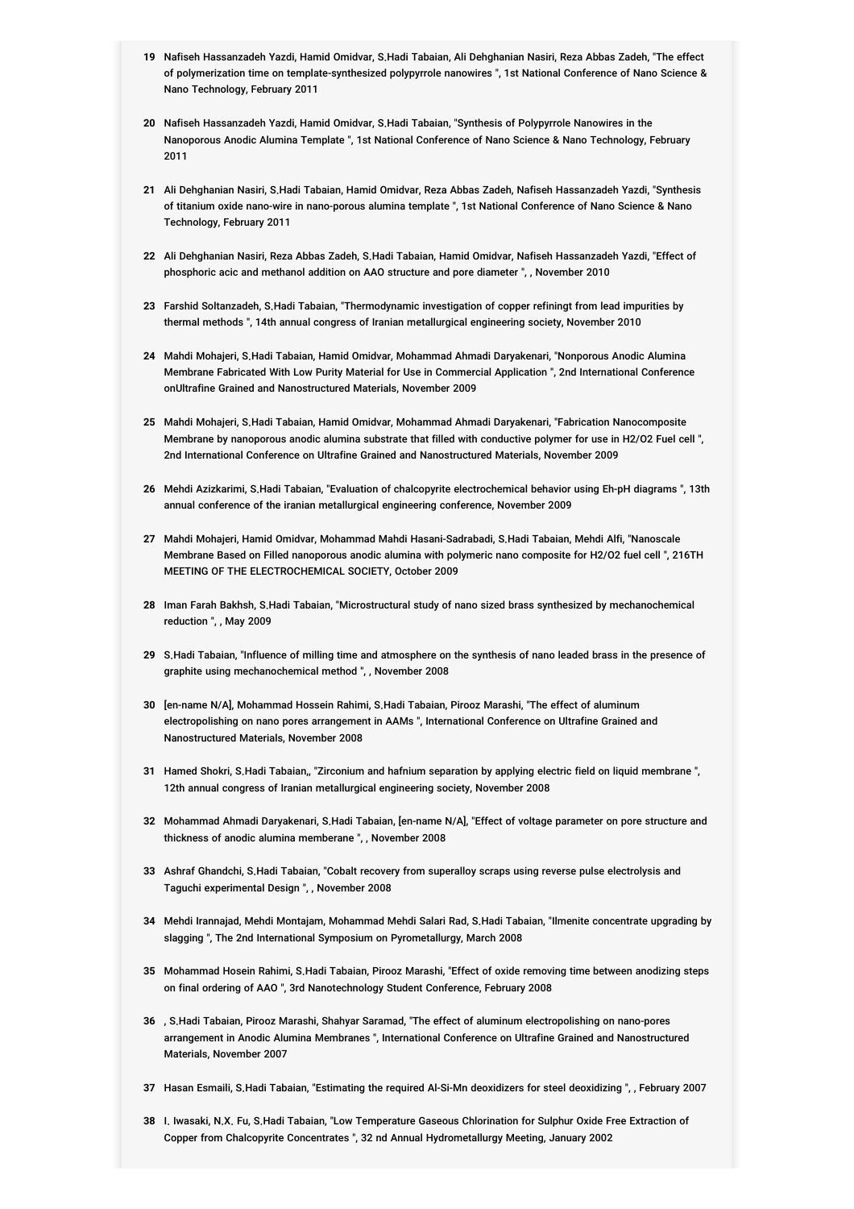- **19** Nafiseh Hassanzadeh Yazdi, Hamid Omidvar, S.Hadi Tabaian, Ali Dehghanian Nasiri, Reza Abbas Zadeh, "The effect of polymerization time on template-synthesized polypyrrole nanowires ", 1st National Conference of Nano Science & Nano Technology, February 2011
- **20** Nafiseh Hassanzadeh Yazdi, Hamid Omidvar, S.Hadi Tabaian, "Synthesis of Polypyrrole Nanowires in the Nanoporous Anodic Alumina Template ", 1st National Conference of Nano Science & Nano Technology, February 2011
- **21** Ali Dehghanian Nasiri, S.Hadi Tabaian, Hamid Omidvar, Reza Abbas Zadeh, Nafiseh Hassanzadeh Yazdi, "Synthesis of titanium oxide nano-wire in nano-porous alumina template ", 1st National Conference of Nano Science & Nano Technology, February 2011
- **22** Ali Dehghanian Nasiri, Reza Abbas Zadeh, S.Hadi Tabaian, Hamid Omidvar, Nafiseh Hassanzadeh Yazdi, "Effect of phosphoric acic and methanol addition on AAO structure and pore diameter ", , November 2010
- **23** Farshid Soltanzadeh, S.Hadi Tabaian, "Thermodynamic investigation of copper refiningt from lead impurities by thermal methods ", 14th annual congress of Iranian metallurgical engineering society, November 2010
- **24** Mahdi Mohajeri, S.Hadi Tabaian, Hamid Omidvar, Mohammad Ahmadi Daryakenari, "Nonporous Anodic Alumina Membrane Fabricated With Low Purity Material for Use in Commercial Application ", 2nd International Conference onUltrafine Grained and Nanostructured Materials, November 2009
- **25** Mahdi Mohajeri, S.Hadi Tabaian, Hamid Omidvar, Mohammad Ahmadi Daryakenari, "Fabrication Nanocomposite Membrane by nanoporous anodic alumina substrate that filled with conductive polymer for use in H2/O2 Fuel cell ", 2nd International Conference on Ultrafine Grained and Nanostructured Materials, November 2009
- **26** Mehdi Azizkarimi, S.Hadi Tabaian, "Evaluation of chalcopyrite electrochemical behavior using Eh-pH diagrams ", 13th annual conference of the iranian metallurgical engineering conference, November 2009
- **27** Mahdi Mohajeri, Hamid Omidvar, Mohammad Mahdi Hasani-Sadrabadi, S.Hadi Tabaian, Mehdi Alfi, "Nanoscale Membrane Based on Filled nanoporous anodic alumina with polymeric nano composite for H2/O2 fuel cell ", 216TH MEETING OF THE ELECTROCHEMICAL SOCIETY, October 2009
- **28** Iman Farah Bakhsh, S.Hadi Tabaian, "Microstructural study of nano sized brass synthesized by mechanochemical reduction ", , May 2009
- **29** S.Hadi Tabaian, "Influence of milling time and atmosphere on the synthesis of nano leaded brass in the presence of graphite using mechanochemical method ", , November 2008
- **30** [en-name N/A], Mohammad Hossein Rahimi, S.Hadi Tabaian, Pirooz Marashi, "The effect of aluminum electropolishing on nano pores arrangement in AAMs ", International Conference on Ultrafine Grained and Nanostructured Materials, November 2008
- **31** Hamed Shokri, S.Hadi Tabaian,, "Zirconium and hafnium separation by applying electric field on liquid membrane ", 12th annual congress of Iranian metallurgical engineering society, November 2008
- **32** Mohammad Ahmadi Daryakenari, S.Hadi Tabaian, [en-name N/A], "Effect of voltage parameter on pore structure and thickness of anodic alumina memberane ", , November 2008
- **33** Ashraf Ghandchi, S.Hadi Tabaian, "Cobalt recovery from superalloy scraps using reverse pulse electrolysis and Taguchi experimental Design ", , November 2008
- **34** Mehdi Irannajad, Mehdi Montajam, Mohammad Mehdi Salari Rad, S.Hadi Tabaian, "Ilmenite concentrate upgrading by slagging ", The 2nd International Symposium on Pyrometallurgy, March 2008
- **35** Mohammad Hosein Rahimi, S.Hadi Tabaian, Pirooz Marashi, "Effect of oxide removing time between anodizing steps on final ordering of AAO ", 3rd Nanotechnology Student Conference, February 2008
- **36** , S.Hadi Tabaian, Pirooz Marashi, Shahyar Saramad, "The effect of aluminum electropolishing on nano-pores arrangement in Anodic Alumina Membranes ", International Conference on Ultrafine Grained and Nanostructured Materials, November 2007
- **37** Hasan Esmaili, S.Hadi Tabaian, "Estimating the required Al-Si-Mn deoxidizers for steel deoxidizing ", , February 2007
- **38** I. Iwasaki, N.X. Fu, S.Hadi Tabaian, "Low Temperature Gaseous Chlorination for Sulphur Oxide Free Extraction of Copper from Chalcopyrite Concentrates ", 32 nd Annual Hydrometallurgy Meeting, January 2002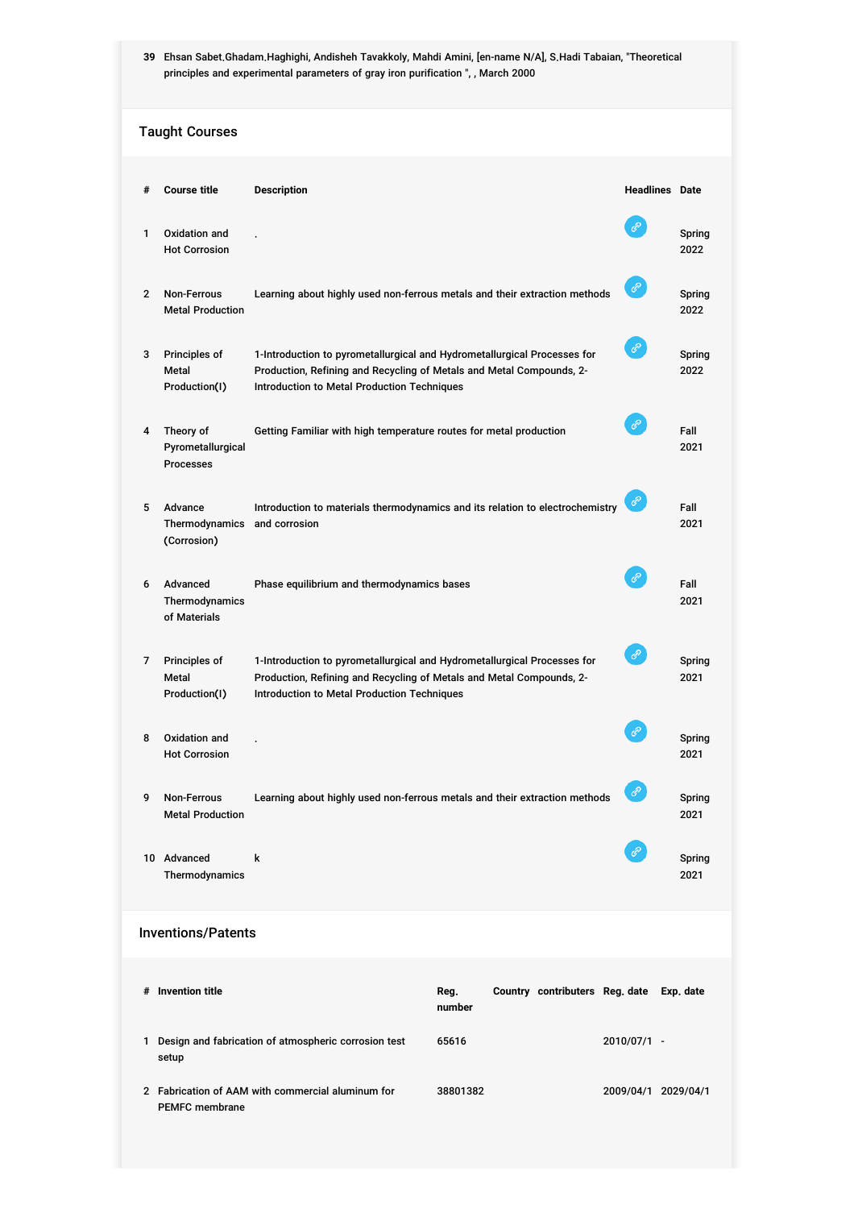**39** Ehsan Sabet.Ghadam.Haghighi, Andisheh Tavakkoly, Mahdi Amini, [en-name N/A], S.Hadi Tabaian, "Theoretical principles and experimental parameters of gray iron purification ", , March 2000

# Taught Courses

| #                         | <b>Course title</b>                                                                                                       | <b>Description</b>                                                                                                                                                                                               |                                                                               | <b>Headlines Date</b> |                |
|---------------------------|---------------------------------------------------------------------------------------------------------------------------|------------------------------------------------------------------------------------------------------------------------------------------------------------------------------------------------------------------|-------------------------------------------------------------------------------|-----------------------|----------------|
| 1                         | Oxidation and<br><b>Hot Corrosion</b>                                                                                     |                                                                                                                                                                                                                  |                                                                               | ℰ                     | Spring<br>2022 |
| $\mathbf{2}$              | <b>Non-Ferrous</b><br><b>Metal Production</b>                                                                             |                                                                                                                                                                                                                  | Learning about highly used non-ferrous metals and their extraction methods    | $\mathcal{C}$         | Spring<br>2022 |
| 3                         | Principles of<br>Metal<br>Production(I)                                                                                   | 1-Introduction to pyrometallurgical and Hydrometallurgical Processes for<br>Production, Refining and Recycling of Metals and Metal Compounds, 2-<br>Introduction to Metal Production Techniques                  |                                                                               | ℰ                     | Spring<br>2022 |
| 4                         | Theory of<br>Pyrometallurgical<br><b>Processes</b>                                                                        | Getting Familiar with high temperature routes for metal production                                                                                                                                               |                                                                               |                       | Fall<br>2021   |
| 5                         | Advance<br>Thermodynamics<br>(Corrosion)                                                                                  | and corrosion                                                                                                                                                                                                    | Introduction to materials thermodynamics and its relation to electrochemistry | $\mathscr{E}$         | Fall<br>2021   |
| 6                         | Advanced<br>Thermodynamics<br>of Materials                                                                                | Phase equilibrium and thermodynamics bases                                                                                                                                                                       |                                                                               | ℰ                     | Fall<br>2021   |
| 7                         | Principles of<br>Metal<br>Production(I)                                                                                   | $\mathcal{C}$<br>1-Introduction to pyrometallurgical and Hydrometallurgical Processes for<br>Production, Refining and Recycling of Metals and Metal Compounds, 2-<br>Introduction to Metal Production Techniques |                                                                               |                       | Spring<br>2021 |
| 8                         | Oxidation and<br><b>Hot Corrosion</b>                                                                                     |                                                                                                                                                                                                                  |                                                                               | ℰ                     | Spring<br>2021 |
| 9                         | ℱ<br>Learning about highly used non-ferrous metals and their extraction methods<br>Non-Ferrous<br><b>Metal Production</b> |                                                                                                                                                                                                                  |                                                                               |                       | Spring<br>2021 |
|                           | 10 Advanced<br>Thermodynamics                                                                                             | k                                                                                                                                                                                                                |                                                                               | ℰ                     | Spring<br>2021 |
| <b>Inventions/Patents</b> |                                                                                                                           |                                                                                                                                                                                                                  |                                                                               |                       |                |
|                           | # Invention title                                                                                                         |                                                                                                                                                                                                                  | Reg.<br>Country contributers Reg. date<br>number                              |                       | Exp. date      |
|                           | setup                                                                                                                     | 1 Design and fabrication of atmospheric corrosion test                                                                                                                                                           | 65616                                                                         | 2010/07/1 -           |                |
|                           | <b>PEMFC</b> membrane                                                                                                     | 2 Fabrication of AAM with commercial aluminum for                                                                                                                                                                | 38801382                                                                      | 2009/04/1 2029/04/1   |                |